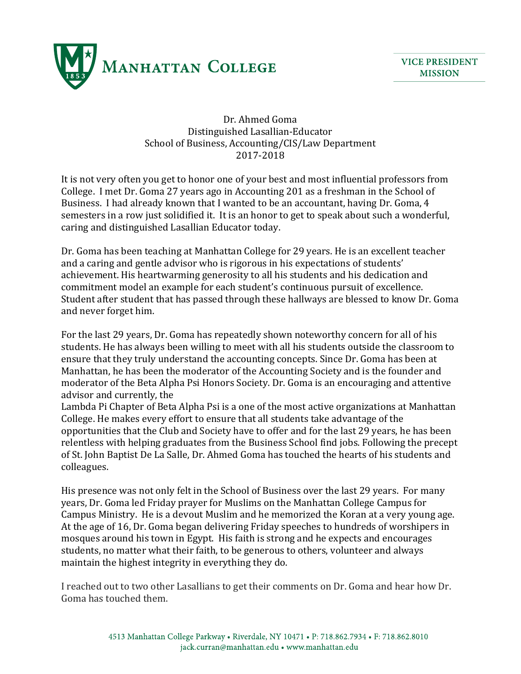

Dr. Ahmed Goma Distinguished Lasallian-Educator School of Business, Accounting/CIS/Law Department 2017-2018

It is not very often you get to honor one of your best and most influential professors from College. I met Dr. Goma 27 years ago in Accounting 201 as a freshman in the School of Business. I had already known that I wanted to be an accountant, having Dr. Goma, 4 semesters in a row just solidified it. It is an honor to get to speak about such a wonderful, caring and distinguished Lasallian Educator today.

Dr. Goma has been teaching at Manhattan College for 29 years. He is an excellent teacher and a caring and gentle advisor who is rigorous in his expectations of students' achievement. His heartwarming generosity to all his students and his dedication and commitment model an example for each student's continuous pursuit of excellence. Student after student that has passed through these hallways are blessed to know Dr. Goma and never forget him.

For the last 29 years, Dr. Goma has repeatedly shown noteworthy concern for all of his students. He has always been willing to meet with all his students outside the classroom to ensure that they truly understand the accounting concepts. Since Dr. Goma has been at Manhattan, he has been the moderator of the Accounting Society and is the founder and moderator of the Beta Alpha Psi Honors Society. Dr. Goma is an encouraging and attentive advisor and currently, the

Lambda Pi Chapter of Beta Alpha Psi is a one of the most active organizations at Manhattan College. He makes every effort to ensure that all students take advantage of the opportunities that the Club and Society have to offer and for the last 29 years, he has been relentless with helping graduates from the Business School find jobs. Following the precept of St. John Baptist De La Salle, Dr. Ahmed Goma has touched the hearts of his students and colleagues.

His presence was not only felt in the School of Business over the last 29 years. For many years, Dr. Goma led Friday prayer for Muslims on the Manhattan College Campus for Campus Ministry. He is a devout Muslim and he memorized the Koran at a very young age. At the age of 16, Dr. Goma began delivering Friday speeches to hundreds of worshipers in mosques around his town in Egypt. His faith is strong and he expects and encourages students, no matter what their faith, to be generous to others, volunteer and always maintain the highest integrity in everything they do.

I reached out to two other Lasallians to get their comments on Dr. Goma and hear how Dr. Goma has touched them.